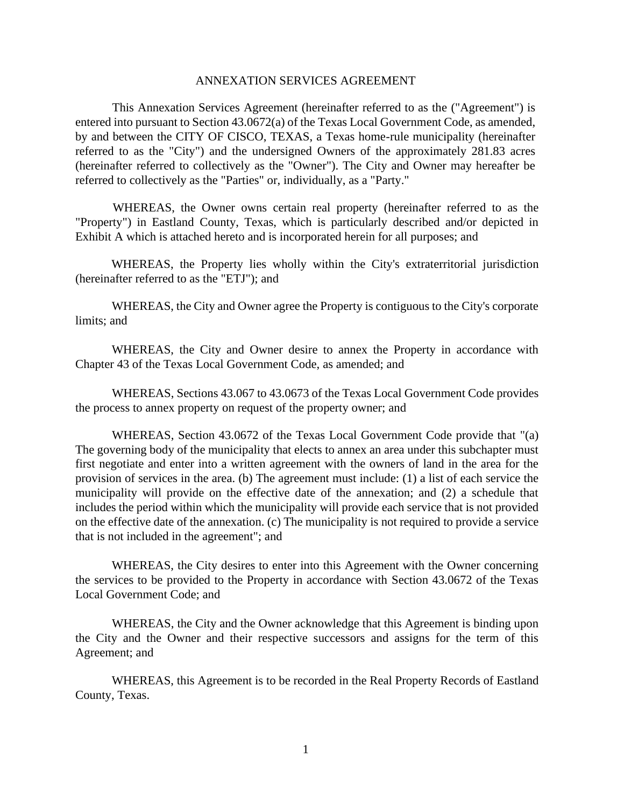#### ANNEXATION SERVICES AGREEMENT

This Annexation Services Agreement (hereinafter referred to as the ("Agreement") is entered into pursuant to Section 43.0672(a) of the Texas Local Government Code, as amended, by and between the CITY OF CISCO, TEXAS, a Texas home-rule municipality (hereinafter referred to as the "City") and the undersigned Owners of the approximately 281.83 acres (hereinafter referred to collectively as the "Owner"). The City and Owner may hereafter be referred to collectively as the "Parties" or, individually, as a "Party."

WHEREAS, the Owner owns certain real property (hereinafter referred to as the "Property") in Eastland County, Texas, which is particularly described and/or depicted in Exhibit A which is attached hereto and is incorporated herein for all purposes; and

WHEREAS, the Property lies wholly within the City's extraterritorial jurisdiction (hereinafter referred to as the "ETJ"); and

WHEREAS, the City and Owner agree the Property is contiguous to the City's corporate limits; and

WHEREAS, the City and Owner desire to annex the Property in accordance with Chapter 43 of the Texas Local Government Code, as amended; and

WHEREAS, Sections 43.067 to 43.0673 of the Texas Local Government Code provides the process to annex property on request of the property owner; and

WHEREAS, Section 43.0672 of the Texas Local Government Code provide that "(a) The governing body of the municipality that elects to annex an area under this subchapter must first negotiate and enter into a written agreement with the owners of land in the area for the provision of services in the area. (b) The agreement must include: (1) a list of each service the municipality will provide on the effective date of the annexation; and (2) a schedule that includes the period within which the municipality will provide each service that is not provided on the effective date of the annexation. (c) The municipality is not required to provide a service that is not included in the agreement"; and

WHEREAS, the City desires to enter into this Agreement with the Owner concerning the services to be provided to the Property in accordance with Section 43.0672 of the Texas Local Government Code; and

WHEREAS, the City and the Owner acknowledge that this Agreement is binding upon the City and the Owner and their respective successors and assigns for the term of this Agreement; and

WHEREAS, this Agreement is to be recorded in the Real Property Records of Eastland County, Texas.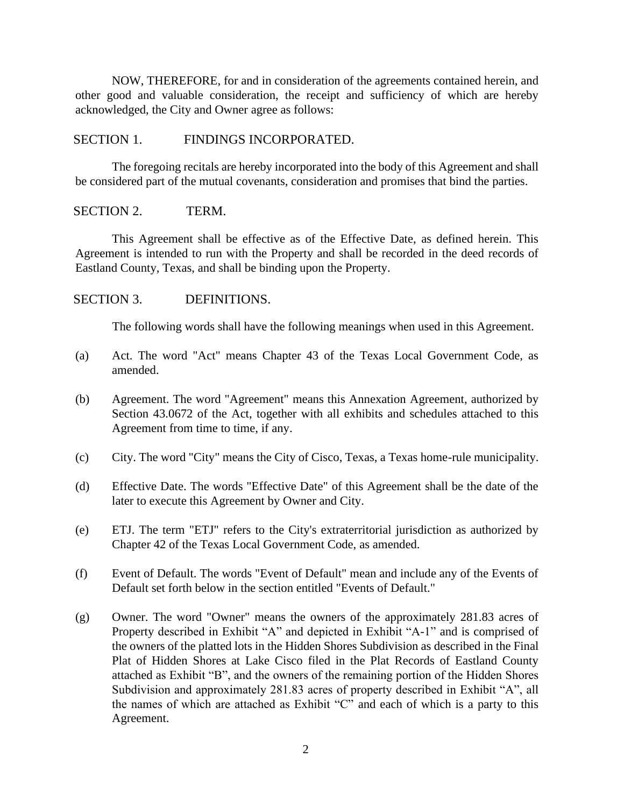NOW, THEREFORE, for and in consideration of the agreements contained herein, and other good and valuable consideration, the receipt and sufficiency of which are hereby acknowledged, the City and Owner agree as follows:

#### SECTION 1. FINDINGS INCORPORATED.

The foregoing recitals are hereby incorporated into the body of this Agreement and shall be considered part of the mutual covenants, consideration and promises that bind the parties.

#### SECTION 2. TERM.

This Agreement shall be effective as of the Effective Date, as defined herein. This Agreement is intended to run with the Property and shall be recorded in the deed records of Eastland County, Texas, and shall be binding upon the Property.

#### SECTION 3. DEFINITIONS.

The following words shall have the following meanings when used in this Agreement.

- (a) Act. The word "Act" means Chapter 43 of the Texas Local Government Code, as amended.
- (b) Agreement. The word "Agreement" means this Annexation Agreement, authorized by Section 43.0672 of the Act, together with all exhibits and schedules attached to this Agreement from time to time, if any.
- (c) City. The word "City" means the City of Cisco, Texas, a Texas home-rule municipality.
- (d) Effective Date. The words "Effective Date" of this Agreement shall be the date of the later to execute this Agreement by Owner and City.
- (e) ETJ. The term "ETJ" refers to the City's extraterritorial jurisdiction as authorized by Chapter 42 of the Texas Local Government Code, as amended.
- (f) Event of Default. The words "Event of Default" mean and include any of the Events of Default set forth below in the section entitled "Events of Default."
- (g) Owner. The word "Owner" means the owners of the approximately 281.83 acres of Property described in Exhibit "A" and depicted in Exhibit "A-1" and is comprised of the owners of the platted lots in the Hidden Shores Subdivision as described in the Final Plat of Hidden Shores at Lake Cisco filed in the Plat Records of Eastland County attached as Exhibit "B", and the owners of the remaining portion of the Hidden Shores Subdivision and approximately 281.83 acres of property described in Exhibit "A", all the names of which are attached as Exhibit "C" and each of which is a party to this Agreement.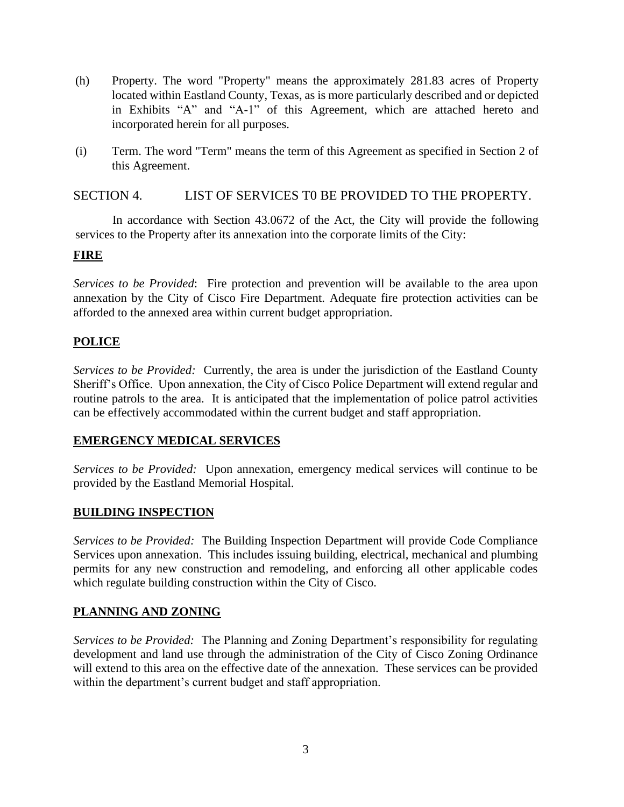- (h) Property. The word "Property" means the approximately 281.83 acres of Property located within Eastland County, Texas, as is more particularly described and or depicted in Exhibits "A" and "A-1" of this Agreement, which are attached hereto and incorporated herein for all purposes.
- (i) Term. The word "Term" means the term of this Agreement as specified in Section 2 of this Agreement.

## SECTION 4. LIST OF SERVICES T0 BE PROVIDED TO THE PROPERTY.

In accordance with Section 43.0672 of the Act, the City will provide the following services to the Property after its annexation into the corporate limits of the City:

## **FIRE**

*Services to be Provided*: Fire protection and prevention will be available to the area upon annexation by the City of Cisco Fire Department. Adequate fire protection activities can be afforded to the annexed area within current budget appropriation.

## **POLICE**

*Services to be Provided:* Currently, the area is under the jurisdiction of the Eastland County Sheriff's Office. Upon annexation, the City of Cisco Police Department will extend regular and routine patrols to the area. It is anticipated that the implementation of police patrol activities can be effectively accommodated within the current budget and staff appropriation.

### **EMERGENCY MEDICAL SERVICES**

*Services to be Provided:* Upon annexation, emergency medical services will continue to be provided by the Eastland Memorial Hospital.

### **BUILDING INSPECTION**

*Services to be Provided:* The Building Inspection Department will provide Code Compliance Services upon annexation. This includes issuing building, electrical, mechanical and plumbing permits for any new construction and remodeling, and enforcing all other applicable codes which regulate building construction within the City of Cisco.

#### **PLANNING AND ZONING**

*Services to be Provided:* The Planning and Zoning Department's responsibility for regulating development and land use through the administration of the City of Cisco Zoning Ordinance will extend to this area on the effective date of the annexation. These services can be provided within the department's current budget and staff appropriation.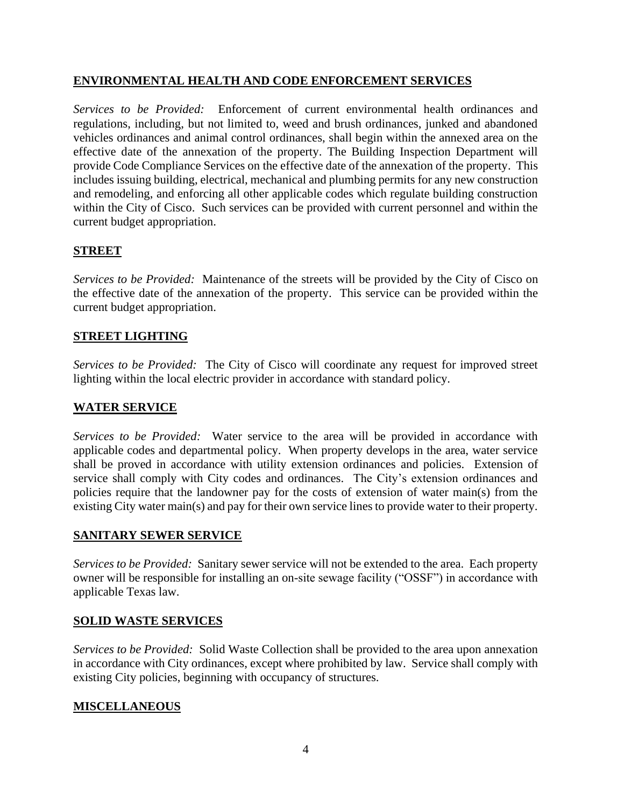### **ENVIRONMENTAL HEALTH AND CODE ENFORCEMENT SERVICES**

*Services to be Provided:* Enforcement of current environmental health ordinances and regulations, including, but not limited to, weed and brush ordinances, junked and abandoned vehicles ordinances and animal control ordinances, shall begin within the annexed area on the effective date of the annexation of the property. The Building Inspection Department will provide Code Compliance Services on the effective date of the annexation of the property. This includes issuing building, electrical, mechanical and plumbing permits for any new construction and remodeling, and enforcing all other applicable codes which regulate building construction within the City of Cisco. Such services can be provided with current personnel and within the current budget appropriation.

## **STREET**

*Services to be Provided:* Maintenance of the streets will be provided by the City of Cisco on the effective date of the annexation of the property. This service can be provided within the current budget appropriation.

### **STREET LIGHTING**

*Services to be Provided:* The City of Cisco will coordinate any request for improved street lighting within the local electric provider in accordance with standard policy.

### **WATER SERVICE**

*Services to be Provided:* Water service to the area will be provided in accordance with applicable codes and departmental policy. When property develops in the area, water service shall be proved in accordance with utility extension ordinances and policies. Extension of service shall comply with City codes and ordinances. The City's extension ordinances and policies require that the landowner pay for the costs of extension of water main(s) from the existing City water main(s) and pay for their own service lines to provide water to their property.

### **SANITARY SEWER SERVICE**

*Services to be Provided:* Sanitary sewer service will not be extended to the area. Each property owner will be responsible for installing an on-site sewage facility ("OSSF") in accordance with applicable Texas law.

### **SOLID WASTE SERVICES**

*Services to be Provided:* Solid Waste Collection shall be provided to the area upon annexation in accordance with City ordinances, except where prohibited by law. Service shall comply with existing City policies, beginning with occupancy of structures.

### **MISCELLANEOUS**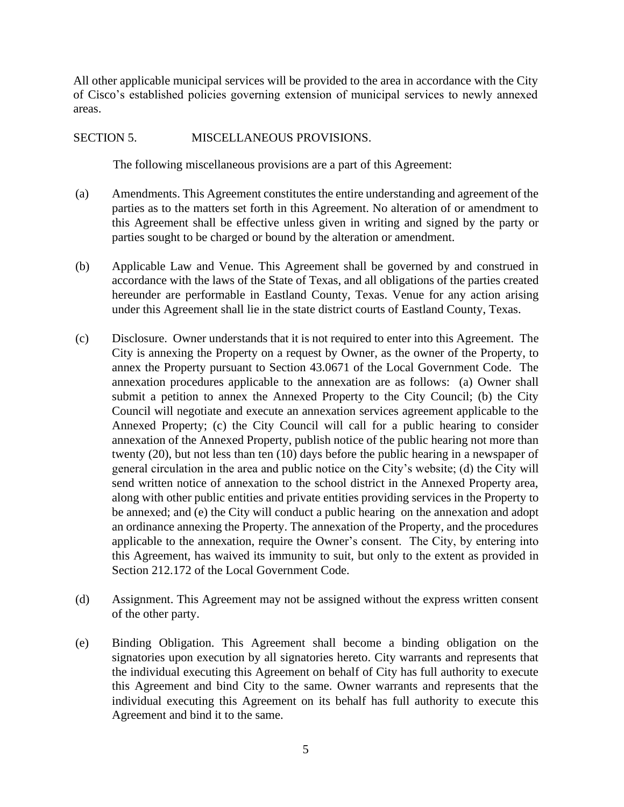All other applicable municipal services will be provided to the area in accordance with the City of Cisco's established policies governing extension of municipal services to newly annexed areas.

#### SECTION 5. MISCELLANEOUS PROVISIONS.

The following miscellaneous provisions are a part of this Agreement:

- (a) Amendments. This Agreement constitutes the entire understanding and agreement of the parties as to the matters set forth in this Agreement. No alteration of or amendment to this Agreement shall be effective unless given in writing and signed by the party or parties sought to be charged or bound by the alteration or amendment.
- (b) Applicable Law and Venue. This Agreement shall be governed by and construed in accordance with the laws of the State of Texas, and all obligations of the parties created hereunder are performable in Eastland County, Texas. Venue for any action arising under this Agreement shall lie in the state district courts of Eastland County, Texas.
- (c) Disclosure. Owner understands that it is not required to enter into this Agreement. The City is annexing the Property on a request by Owner, as the owner of the Property, to annex the Property pursuant to Section 43.0671 of the Local Government Code. The annexation procedures applicable to the annexation are as follows: (a) Owner shall submit a petition to annex the Annexed Property to the City Council; (b) the City Council will negotiate and execute an annexation services agreement applicable to the Annexed Property; (c) the City Council will call for a public hearing to consider annexation of the Annexed Property, publish notice of the public hearing not more than twenty (20), but not less than ten (10) days before the public hearing in a newspaper of general circulation in the area and public notice on the City's website; (d) the City will send written notice of annexation to the school district in the Annexed Property area, along with other public entities and private entities providing services in the Property to be annexed; and (e) the City will conduct a public hearing on the annexation and adopt an ordinance annexing the Property. The annexation of the Property, and the procedures applicable to the annexation, require the Owner's consent. The City, by entering into this Agreement, has waived its immunity to suit, but only to the extent as provided in Section 212.172 of the Local Government Code.
- (d) Assignment. This Agreement may not be assigned without the express written consent of the other party.
- (e) Binding Obligation. This Agreement shall become a binding obligation on the signatories upon execution by all signatories hereto. City warrants and represents that the individual executing this Agreement on behalf of City has full authority to execute this Agreement and bind City to the same. Owner warrants and represents that the individual executing this Agreement on its behalf has full authority to execute this Agreement and bind it to the same.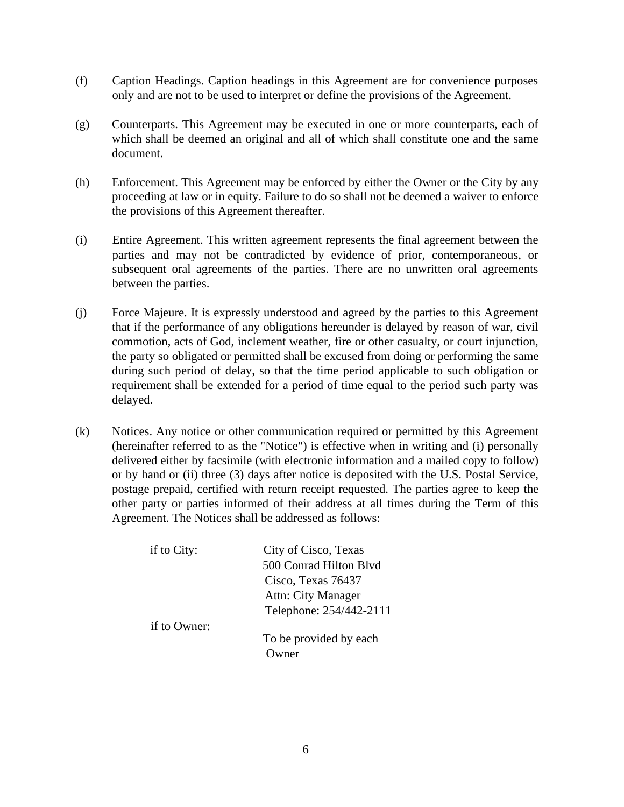- (f) Caption Headings. Caption headings in this Agreement are for convenience purposes only and are not to be used to interpret or define the provisions of the Agreement.
- (g) Counterparts. This Agreement may be executed in one or more counterparts, each of which shall be deemed an original and all of which shall constitute one and the same document.
- (h) Enforcement. This Agreement may be enforced by either the Owner or the City by any proceeding at law or in equity. Failure to do so shall not be deemed a waiver to enforce the provisions of this Agreement thereafter.
- (i) Entire Agreement. This written agreement represents the final agreement between the parties and may not be contradicted by evidence of prior, contemporaneous, or subsequent oral agreements of the parties. There are no unwritten oral agreements between the parties.
- (j) Force Majeure. It is expressly understood and agreed by the parties to this Agreement that if the performance of any obligations hereunder is delayed by reason of war, civil commotion, acts of God, inclement weather, fire or other casualty, or court injunction, the party so obligated or permitted shall be excused from doing or performing the same during such period of delay, so that the time period applicable to such obligation or requirement shall be extended for a period of time equal to the period such party was delayed.
- (k) Notices. Any notice or other communication required or permitted by this Agreement (hereinafter referred to as the "Notice") is effective when in writing and (i) personally delivered either by facsimile (with electronic information and a mailed copy to follow) or by hand or (ii) three (3) days after notice is deposited with the U.S. Postal Service, postage prepaid, certified with return receipt requested. The parties agree to keep the other party or parties informed of their address at all times during the Term of this Agreement. The Notices shall be addressed as follows:

| if to City:  | City of Cisco, Texas      |
|--------------|---------------------------|
|              | 500 Conrad Hilton Blyd    |
|              | Cisco, Texas 76437        |
|              | <b>Attn: City Manager</b> |
|              | Telephone: 254/442-2111   |
| if to Owner: |                           |
|              | To be provided by each    |
|              | ner                       |